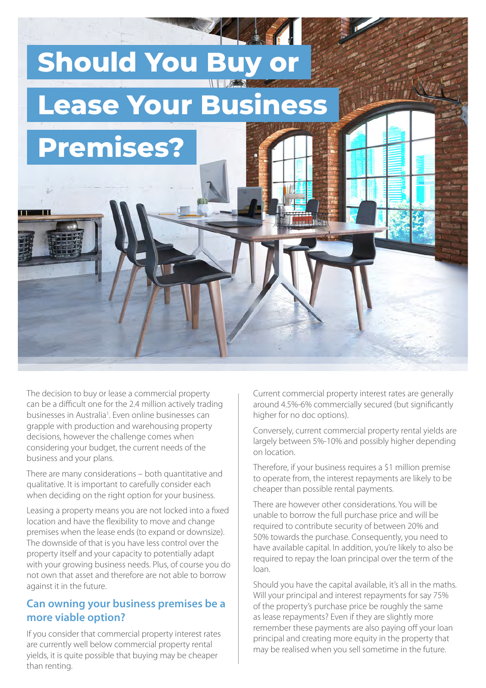

The decision to buy or lease a commercial property can be a difficult one for the 2.4 million actively trading businesses in Australia<sup>1</sup>. Even online businesses can grapple with production and warehousing property decisions, however the challenge comes when considering your budget, the current needs of the business and your plans.

There are many considerations – both quantitative and qualitative. It is important to carefully consider each when deciding on the right option for your business.

Leasing a property means you are not locked into a fixed location and have the flexibility to move and change premises when the lease ends (to expand or downsize). The downside of that is you have less control over the property itself and your capacity to potentially adapt with your growing business needs. Plus, of course you do not own that asset and therefore are not able to borrow against it in the future.

## **Can owning your business premises be a more viable option?**

If you consider that commercial property interest rates are currently well below commercial property rental yields, it is quite possible that buying may be cheaper than renting.

Current commercial property interest rates are generally around 4.5%-6% commercially secured (but significantly higher for no doc options).

Conversely, current commercial property rental yields are largely between 5%-10% and possibly higher depending on location.

Therefore, if your business requires a \$1 million premise to operate from, the interest repayments are likely to be cheaper than possible rental payments.

There are however other considerations. You will be unable to borrow the full purchase price and will be required to contribute security of between 20% and 50% towards the purchase. Consequently, you need to have available capital. In addition, you're likely to also be required to repay the loan principal over the term of the loan.

Should you have the capital available, it's all in the maths. Will your principal and interest repayments for say 75% of the property's purchase price be roughly the same as lease repayments? Even if they are slightly more remember these payments are also paying off your loan principal and creating more equity in the property that may be realised when you sell sometime in the future.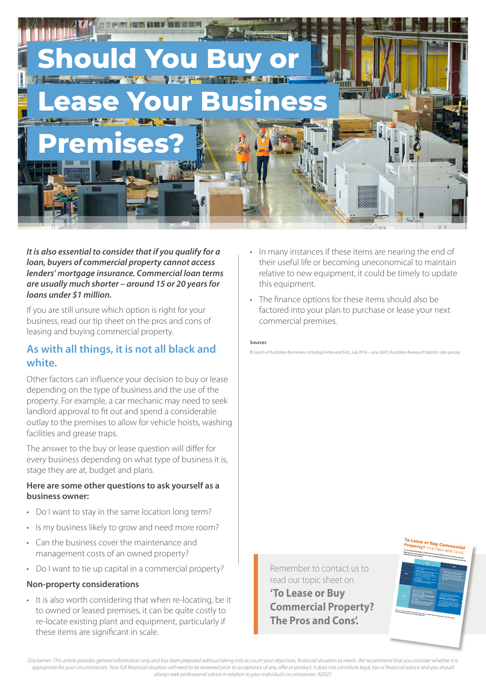

*It is also essential to consider that if you qualify for a loan, buyers of commercial property cannot access lenders' mortgage insurance. Commercial loan terms are usually much shorter – around 15 or 20 years for loans under \$1 million.*

If you are still unsure which option is right for your business, read our tip sheet on the pros and cons of leasing and buying commercial property.

## **As with all things, it is not all black and white.**

Other factors can influence your decision to buy or lease depending on the type of business and the use of the property. For example, a car mechanic may need to seek landlord approval to fit out and spend a considerable outlay to the premises to allow for vehicle hoists, washing facilities and grease traps.

The answer to the buy or lease question will differ for every business depending on what type of business it is, stage they are at, budget and plans.

#### **Here are some other questions to ask yourself as a business owner:**

- Do I want to stay in the same location long term?
- Is my business likely to grow and need more room?
- Can the business cover the maintenance and management costs of an owned property?
- Do I want to tie up capital in a commercial property?

### **Non-property considerations**

• It is also worth considering that when re-locating, be it to owned or leased premises, it can be quite costly to re-locate existing plant and equipment, particularly if these items are significant in scale.

- In many instances if these items are nearing the end of their useful life or becoming uneconomical to maintain relative to new equipment, it could be timely to update this equipment.
- The finance options for these items should also be factored into your plan to purchase or lease your next commercial premises.

#### **Sources**

*1 Counts of Australian Businesses, including Entries and Exits, July 2016 – June 2020 | Australian Bureau of Statistics (abs.gov.au)*

Remember to contact us to read our topic sheet on

**'To Lease or Buy Commercial Property? The Pros and Cons'.** 



Disclaimer: This article provides general information only and has been prepared without taking into account your objectives, financial situation or needs. We recommend that you consider whether it is *appropriate for your circumstances. Your full financial situation will need to be reviewed prior to acceptance of any offer or product. It does not constitute legal, tax or financial advice and you should always seek professional advice in relation to your individual circumstances. ©2021*